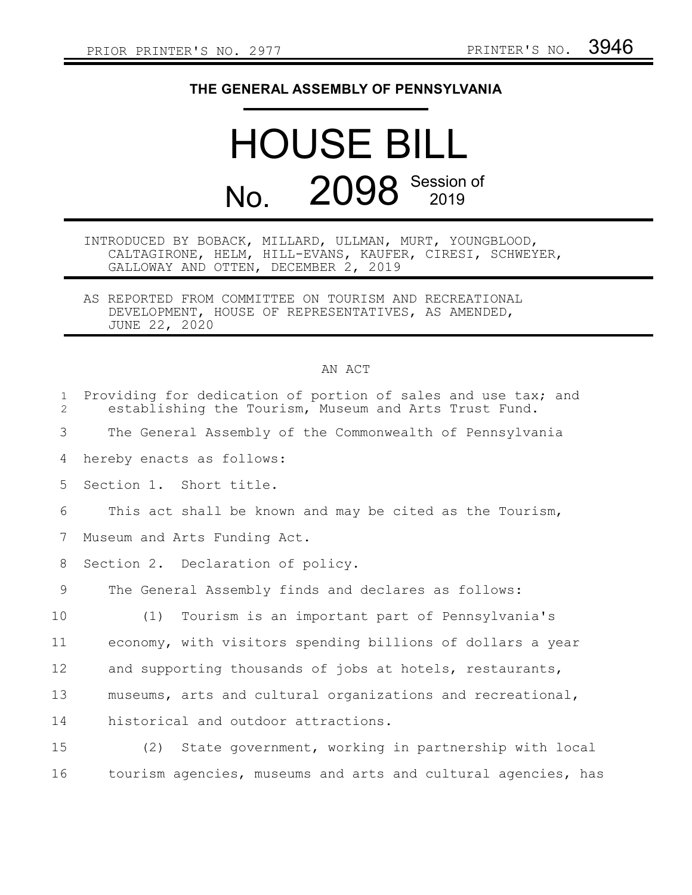## **THE GENERAL ASSEMBLY OF PENNSYLVANIA**

## HOUSE BILL No. 2098 Session of

## INTRODUCED BY BOBACK, MILLARD, ULLMAN, MURT, YOUNGBLOOD, CALTAGIRONE, HELM, HILL-EVANS, KAUFER, CIRESI, SCHWEYER, GALLOWAY AND OTTEN, DECEMBER 2, 2019

AS REPORTED FROM COMMITTEE ON TOURISM AND RECREATIONAL DEVELOPMENT, HOUSE OF REPRESENTATIVES, AS AMENDED, JUNE 22, 2020

## AN ACT

| $\mathbf{1}$<br>$\overline{2}$ | Providing for dedication of portion of sales and use tax; and<br>establishing the Tourism, Museum and Arts Trust Fund. |
|--------------------------------|------------------------------------------------------------------------------------------------------------------------|
| 3                              | The General Assembly of the Commonwealth of Pennsylvania                                                               |
| 4                              | hereby enacts as follows:                                                                                              |
| 5                              | Section 1. Short title.                                                                                                |
| 6                              | This act shall be known and may be cited as the Tourism,                                                               |
| 7                              | Museum and Arts Funding Act.                                                                                           |
| 8                              | Section 2. Declaration of policy.                                                                                      |
| 9                              | The General Assembly finds and declares as follows:                                                                    |
| 10                             | Tourism is an important part of Pennsylvania's<br>(1)                                                                  |
| 11                             | economy, with visitors spending billions of dollars a year                                                             |
| 12                             | and supporting thousands of jobs at hotels, restaurants,                                                               |
| 13                             | museums, arts and cultural organizations and recreational,                                                             |
| 14                             | historical and outdoor attractions.                                                                                    |
| 15                             | State government, working in partnership with local<br>(2)                                                             |
| 16                             | tourism agencies, museums and arts and cultural agencies, has                                                          |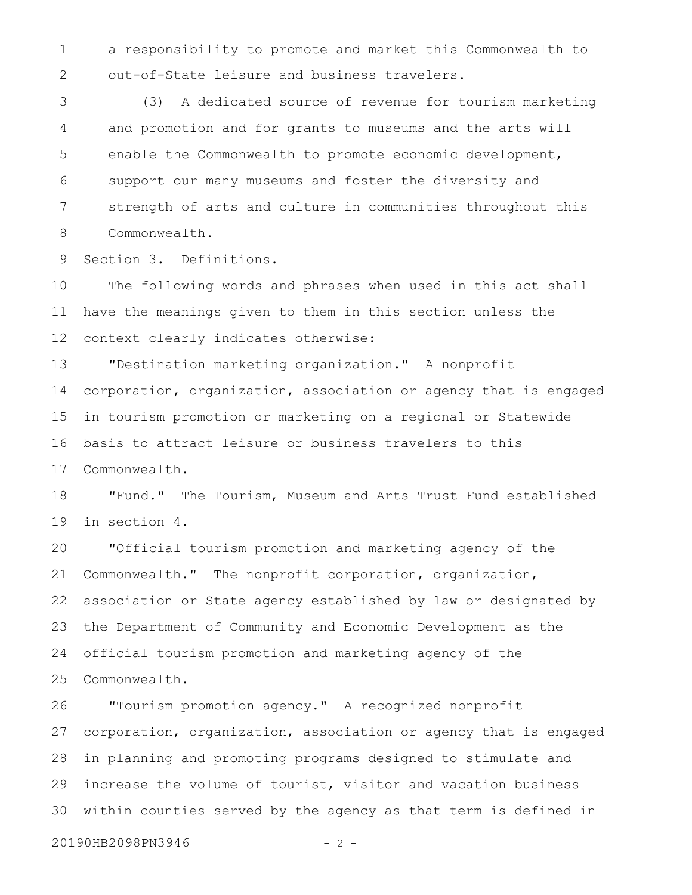a responsibility to promote and market this Commonwealth to out-of-State leisure and business travelers. 1 2

(3) A dedicated source of revenue for tourism marketing and promotion and for grants to museums and the arts will enable the Commonwealth to promote economic development, support our many museums and foster the diversity and strength of arts and culture in communities throughout this Commonwealth. 3 4 5 6 7 8

Section 3. Definitions. 9

The following words and phrases when used in this act shall have the meanings given to them in this section unless the context clearly indicates otherwise: 10 11 12

"Destination marketing organization." A nonprofit corporation, organization, association or agency that is engaged in tourism promotion or marketing on a regional or Statewide basis to attract leisure or business travelers to this Commonwealth. 13 14 15 16 17

"Fund." The Tourism, Museum and Arts Trust Fund established in section 4. 18 19

"Official tourism promotion and marketing agency of the Commonwealth." The nonprofit corporation, organization, association or State agency established by law or designated by the Department of Community and Economic Development as the official tourism promotion and marketing agency of the Commonwealth. 20 21 22 23 24 25

"Tourism promotion agency." A recognized nonprofit corporation, organization, association or agency that is engaged in planning and promoting programs designed to stimulate and increase the volume of tourist, visitor and vacation business within counties served by the agency as that term is defined in 26 27 28 29 30

20190HB2098PN3946 - 2 -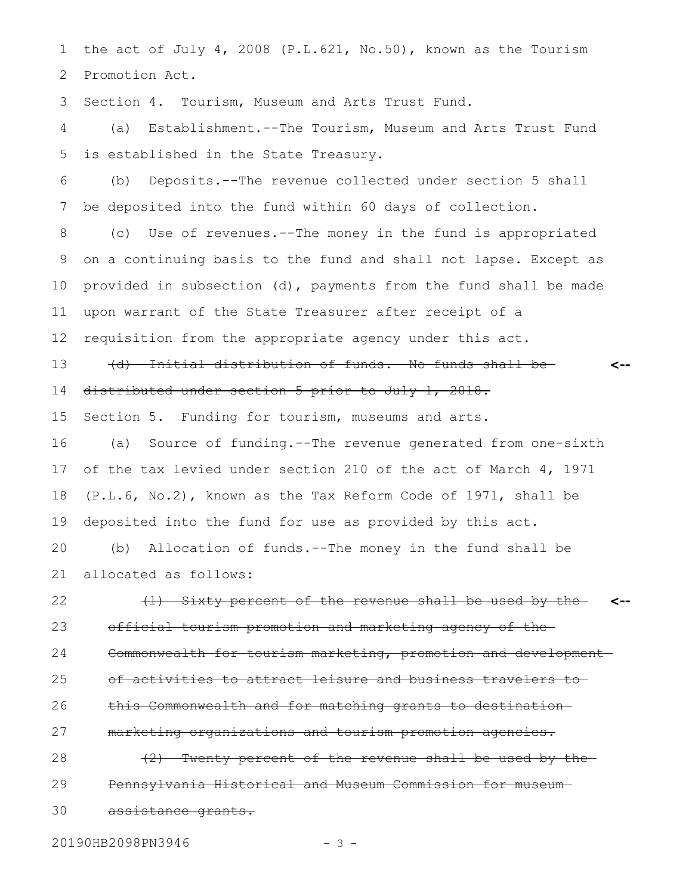the act of July 4, 2008 (P.L.621, No.50), known as the Tourism Promotion Act. 1 2

Section 4. Tourism, Museum and Arts Trust Fund. 3

(a) Establishment.--The Tourism, Museum and Arts Trust Fund is established in the State Treasury. 4 5

(b) Deposits.--The revenue collected under section 5 shall be deposited into the fund within 60 days of collection. 6 7

(c) Use of revenues.--The money in the fund is appropriated on a continuing basis to the fund and shall not lapse. Except as provided in subsection (d), payments from the fund shall be made upon warrant of the State Treasurer after receipt of a 8 9 10 11

requisition from the appropriate agency under this act. 12

(d) Initial distribution of funds.--No funds shall be distributed under section 5 prior to July 1, 2018. **<--** 13 14

Section 5. Funding for tourism, museums and arts. 15

(a) Source of funding.--The revenue generated from one-sixth of the tax levied under section 210 of the act of March 4, 1971 (P.L.6, No.2), known as the Tax Reform Code of 1971, shall be deposited into the fund for use as provided by this act. 16 17 18 19

(b) Allocation of funds.--The money in the fund shall be allocated as follows: 20 21

(1) Sixty percent of the revenue shall be used by the **<-** official tourism promotion and marketing agency of the Commonwealth for tourism marketing, promotion and developmentof activities to attract leisure and business travelers to this Commonwealth and for matching grants to destination marketing organizations and tourism promotion agencies. 22 23 24 25 26 27

(2) Twenty percent of the revenue shall be used by the Pennsylvania Historical and Museum Commission for museum assistance grants. 28 29 30

20190HB2098PN3946 - 3 -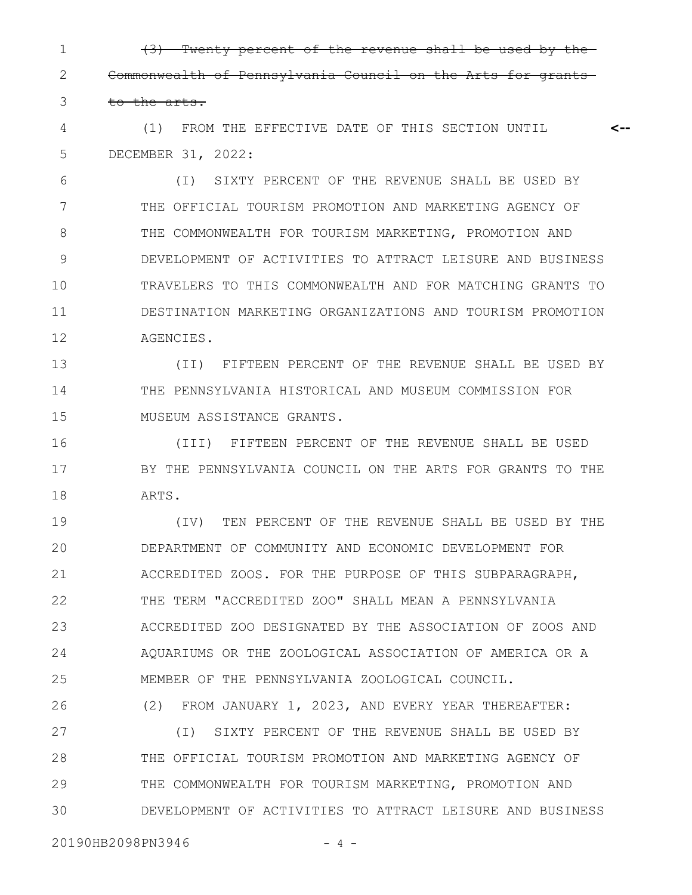(3) Twenty percent of the revenue shall be used by the Commonwealth of Pennsylvania Council on the Arts for grants to the arts. 1 2 3

(1) FROM THE EFFECTIVE DATE OF THIS SECTION UNTIL DECEMBER 31, 2022: **<--** 4 5

(I) SIXTY PERCENT OF THE REVENUE SHALL BE USED BY THE OFFICIAL TOURISM PROMOTION AND MARKETING AGENCY OF THE COMMONWEALTH FOR TOURISM MARKETING, PROMOTION AND DEVELOPMENT OF ACTIVITIES TO ATTRACT LEISURE AND BUSINESS TRAVELERS TO THIS COMMONWEALTH AND FOR MATCHING GRANTS TO DESTINATION MARKETING ORGANIZATIONS AND TOURISM PROMOTION AGENCIES. 6 7 8 9 10 11 12

(II) FIFTEEN PERCENT OF THE REVENUE SHALL BE USED BY THE PENNSYLVANIA HISTORICAL AND MUSEUM COMMISSION FOR MUSEUM ASSISTANCE GRANTS. 13 14 15

(III) FIFTEEN PERCENT OF THE REVENUE SHALL BE USED BY THE PENNSYLVANIA COUNCIL ON THE ARTS FOR GRANTS TO THE ARTS. 16 17 18

(IV) TEN PERCENT OF THE REVENUE SHALL BE USED BY THE DEPARTMENT OF COMMUNITY AND ECONOMIC DEVELOPMENT FOR ACCREDITED ZOOS. FOR THE PURPOSE OF THIS SUBPARAGRAPH, THE TERM "ACCREDITED ZOO" SHALL MEAN A PENNSYLVANIA ACCREDITED ZOO DESIGNATED BY THE ASSOCIATION OF ZOOS AND AQUARIUMS OR THE ZOOLOGICAL ASSOCIATION OF AMERICA OR A MEMBER OF THE PENNSYLVANIA ZOOLOGICAL COUNCIL. 19 20 21 22 23 24 25

(2) FROM JANUARY 1, 2023, AND EVERY YEAR THEREAFTER: 26

(I) SIXTY PERCENT OF THE REVENUE SHALL BE USED BY THE OFFICIAL TOURISM PROMOTION AND MARKETING AGENCY OF THE COMMONWEALTH FOR TOURISM MARKETING, PROMOTION AND DEVELOPMENT OF ACTIVITIES TO ATTRACT LEISURE AND BUSINESS 27 28 29 30